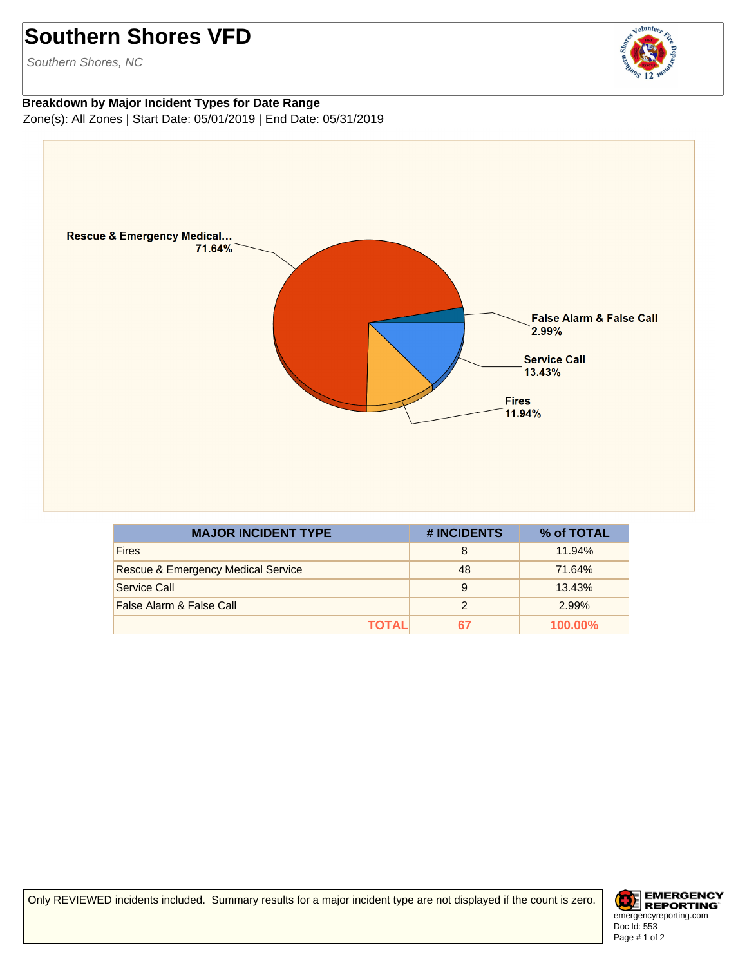## **Southern Shores VFD**

Southern Shores, NC

## **Breakdown by Major Incident Types for Date Range** Zone(s): All Zones | Start Date: 05/01/2019 | End Date: 05/31/2019



| <b>MAJOR INCIDENT TYPE</b>         | # INCIDENTS   | % of TOTAL |
|------------------------------------|---------------|------------|
| <b>Fires</b>                       | 8             | 11.94%     |
| Rescue & Emergency Medical Service | 48            | 71.64%     |
| Service Call                       | 9             | 13.43%     |
| False Alarm & False Call           | $\mathcal{P}$ | 2.99%      |
| ΤΟΤΑL                              | 67            | $100.00\%$ |

Only REVIEWED incidents included. Summary results for a major incident type are not displayed if the count is zero.